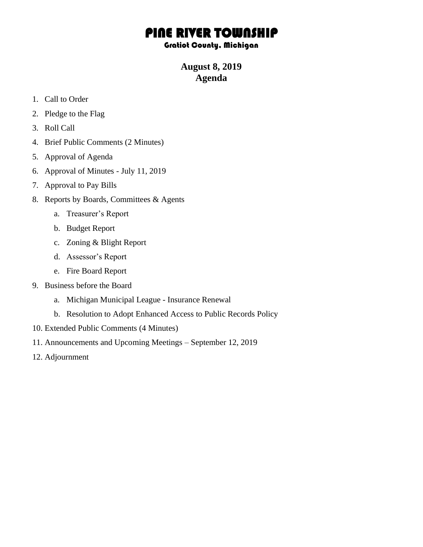## PINE RIVER TOWNSHIP

## Gratiot County, Michigan

## **August 8, 2019 Agenda**

- 1. Call to Order
- 2. Pledge to the Flag
- 3. Roll Call
- 4. Brief Public Comments (2 Minutes)
- 5. Approval of Agenda
- 6. Approval of Minutes July 11, 2019
- 7. Approval to Pay Bills
- 8. Reports by Boards, Committees & Agents
	- a. Treasurer's Report
	- b. Budget Report
	- c. Zoning & Blight Report
	- d. Assessor's Report
	- e. Fire Board Report
- 9. Business before the Board
	- a. Michigan Municipal League Insurance Renewal
	- b. Resolution to Adopt Enhanced Access to Public Records Policy
- 10. Extended Public Comments (4 Minutes)
- 11. Announcements and Upcoming Meetings September 12, 2019
- 12. Adjournment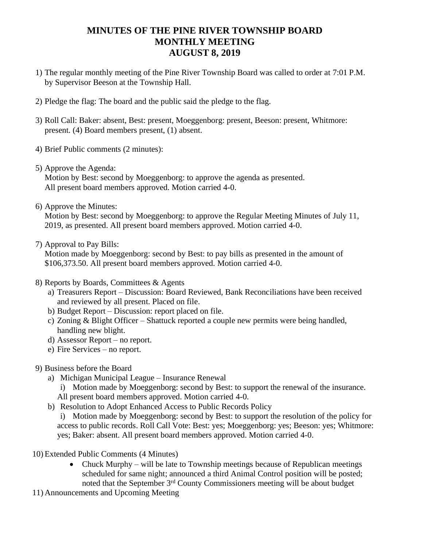## **MINUTES OF THE PINE RIVER TOWNSHIP BOARD MONTHLY MEETING AUGUST 8, 2019**

- 1) The regular monthly meeting of the Pine River Township Board was called to order at 7:01 P.M. by Supervisor Beeson at the Township Hall.
- 2) Pledge the flag: The board and the public said the pledge to the flag.
- 3) Roll Call: Baker: absent, Best: present, Moeggenborg: present, Beeson: present, Whitmore: present. (4) Board members present, (1) absent.
- 4) Brief Public comments (2 minutes):
- 5) Approve the Agenda:

Motion by Best: second by Moeggenborg: to approve the agenda as presented. All present board members approved. Motion carried 4-0.

6) Approve the Minutes:

Motion by Best: second by Moeggenborg: to approve the Regular Meeting Minutes of July 11, 2019, as presented. All present board members approved. Motion carried 4-0.

7) Approval to Pay Bills:

Motion made by Moeggenborg: second by Best: to pay bills as presented in the amount of \$106,373.50. All present board members approved. Motion carried 4-0.

- 8) Reports by Boards, Committees & Agents
	- a) Treasurers Report Discussion: Board Reviewed, Bank Reconciliations have been received and reviewed by all present. Placed on file.
	- b) Budget Report Discussion: report placed on file.
	- c) Zoning & Blight Officer Shattuck reported a couple new permits were being handled, handling new blight.
	- d) Assessor Report no report.
	- e) Fire Services no report.
- 9) Business before the Board
	- a) Michigan Municipal League Insurance Renewal
		- i) Motion made by Moeggenborg: second by Best: to support the renewal of the insurance.
		- All present board members approved. Motion carried 4-0.
	- b) Resolution to Adopt Enhanced Access to Public Records Policy

i) Motion made by Moeggenborg: second by Best: to support the resolution of the policy for access to public records. Roll Call Vote: Best: yes; Moeggenborg: yes; Beeson: yes; Whitmore: yes; Baker: absent. All present board members approved. Motion carried 4-0.

- 10) Extended Public Comments (4 Minutes)
	- Chuck Murphy will be late to Township meetings because of Republican meetings scheduled for same night; announced a third Animal Control position will be posted; noted that the September 3rd County Commissioners meeting will be about budget
- 11) Announcements and Upcoming Meeting